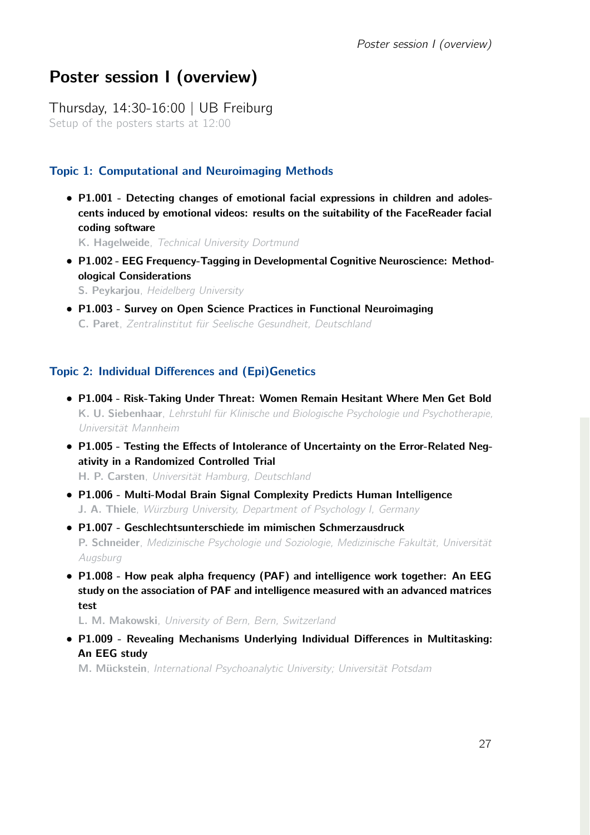# Poster session I (overview)

Thursday, 14:30-16:00 | UB Freiburg Setup of the posters starts at 12:00

# Topic 1: Computational and Neuroimaging Methods

*•* P1.001 - Detecting changes of emotional facial expressions in children and adolescents induced by emotional videos: results on the suitability of the FaceReader facial coding software

K. Hagelweide, *Technical University Dortmund*

*•* P1.002 - EEG Frequency-Tagging in Developmental Cognitive Neuroscience: Methodological Considerations

S. Peykarjou, *Heidelberg University*

*•* P1.003 - Survey on Open Science Practices in Functional Neuroimaging C. Paret, *Zentralinstitut für Seelische Gesundheit, Deutschland*

# Topic 2: Individual Differences and (Epi)Genetics

- *•* P1.004 Risk-Taking Under Threat: Women Remain Hesitant Where Men Get Bold K. U. Siebenhaar, *Lehrstuhl für Klinische und Biologische Psychologie und Psychotherapie, Universität Mannheim*
- *•* P1.005 Testing the Effects of Intolerance of Uncertainty on the Error-Related Negativity in a Randomized Controlled Trial H. P. Carsten, *Universität Hamburg, Deutschland*
- *•* P1.006 Multi-Modal Brain Signal Complexity Predicts Human Intelligence J. A. Thiele, *Würzburg University, Department of Psychology I, Germany*
- *•* P1.007 Geschlechtsunterschiede im mimischen Schmerzausdruck P. Schneider, *Medizinische Psychologie und Soziologie, Medizinische Fakultät, Universität Augsburg*
- *•* P1.008 How peak alpha frequency (PAF) and intelligence work together: An EEG study on the association of PAF and intelligence measured with an advanced matrices test

L. M. Makowski, *University of Bern, Bern, Switzerland*

*•* P1.009 - Revealing Mechanisms Underlying Individual Differences in Multitasking: An EEG study

M. Mückstein, *International Psychoanalytic University; Universität Potsdam*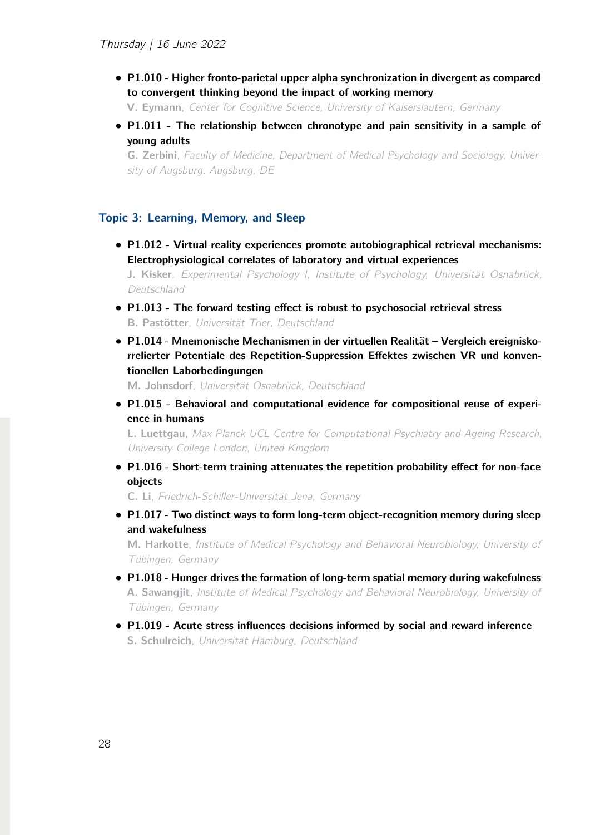*•* P1.010 - Higher fronto-parietal upper alpha synchronization in divergent as compared to convergent thinking beyond the impact of working memory

V. Eymann, *Center for Cognitive Science, University of Kaiserslautern, Germany*

*•* P1.011 - The relationship between chronotype and pain sensitivity in a sample of young adults

G. Zerbini, *Faculty of Medicine, Department of Medical Psychology and Sociology, University of Augsburg, Augsburg, DE*

#### Topic 3: Learning, Memory, and Sleep

- *•* P1.012 Virtual reality experiences promote autobiographical retrieval mechanisms: Electrophysiological correlates of laboratory and virtual experiences J. Kisker, *Experimental Psychology I, Institute of Psychology, Universität Osnabrück, Deutschland*
- *•* P1.013 The forward testing effect is robust to psychosocial retrieval stress B. Pastötter, *Universität Trier, Deutschland*
- *•* P1.014 Mnemonische Mechanismen in der virtuellen Realität Vergleich ereigniskorrelierter Potentiale des Repetition-Suppression Effektes zwischen VR und konventionellen Laborbedingungen

M. Johnsdorf, *Universität Osnabrück, Deutschland*

*•* P1.015 - Behavioral and computational evidence for compositional reuse of experience in humans

L. Luettgau, *Max Planck UCL Centre for Computational Psychiatry and Ageing Research, University College London, United Kingdom*

*•* P1.016 - Short-term training attenuates the repetition probability effect for non-face objects

C. Li, *Friedrich-Schiller-Universität Jena, Germany*

• P1.017 - Two distinct ways to form long-term object-recognition memory during sleep and wakefulness

M. Harkotte, *Institute of Medical Psychology and Behavioral Neurobiology, University of Tübingen, Germany*

- *•* P1.018 Hunger drives the formation of long-term spatial memory during wakefulness A. Sawangjit, *Institute of Medical Psychology and Behavioral Neurobiology, University of Tübingen, Germany*
- *•* P1.019 Acute stress influences decisions informed by social and reward inference S. Schulreich, *Universität Hamburg, Deutschland*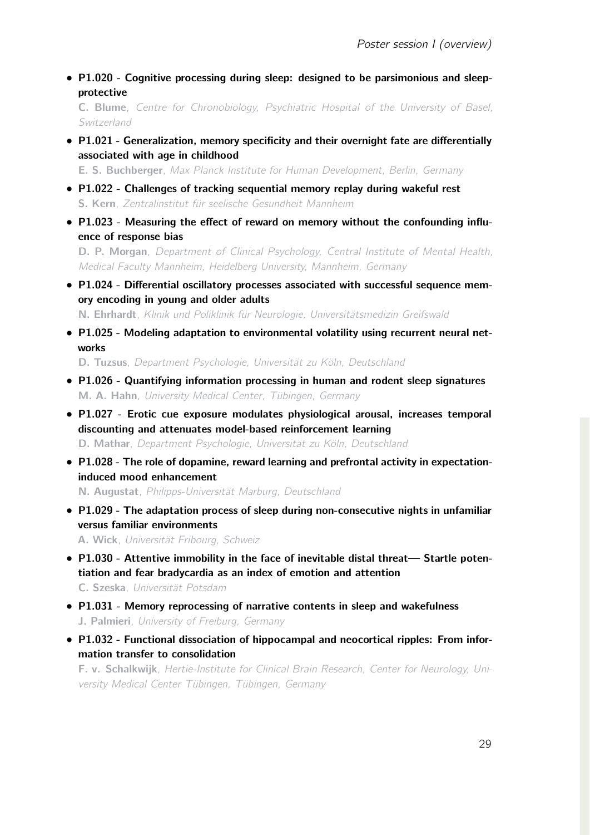*•* P1.020 - Cognitive processing during sleep: designed to be parsimonious and sleepprotective

C. Blume, *Centre for Chronobiology, Psychiatric Hospital of the University of Basel, Switzerland*

*•* P1.021 - Generalization, memory specificity and their overnight fate are differentially associated with age in childhood

E. S. Buchberger, *Max Planck Institute for Human Development, Berlin, Germany*

- *•* P1.022 Challenges of tracking sequential memory replay during wakeful rest S. Kern, *Zentralinstitut für seelische Gesundheit Mannheim*
- *•* P1.023 Measuring the effect of reward on memory without the confounding influence of response bias

D. P. Morgan, *Department of Clinical Psychology, Central Institute of Mental Health, Medical Faculty Mannheim, Heidelberg University, Mannheim, Germany*

*•* P1.024 - Differential oscillatory processes associated with successful sequence memory encoding in young and older adults

N. Ehrhardt, *Klinik und Poliklinik für Neurologie, Universitätsmedizin Greifswald*

*•* P1.025 - Modeling adaptation to environmental volatility using recurrent neural networks

D. Tuzsus, *Department Psychologie, Universität zu Köln, Deutschland*

- *•* P1.026 Quantifying information processing in human and rodent sleep signatures M. A. Hahn, *University Medical Center, Tübingen, Germany*
- *•* P1.027 Erotic cue exposure modulates physiological arousal, increases temporal discounting and attenuates model-based reinforcement learning D. Mathar, *Department Psychologie, Universität zu Köln, Deutschland*
- *•* P1.028 The role of dopamine, reward learning and prefrontal activity in expectationinduced mood enhancement

N. Augustat, *Philipps-Universität Marburg, Deutschland*

*•* P1.029 - The adaptation process of sleep during non-consecutive nights in unfamiliar versus familiar environments

A. Wick, *Universität Fribourg, Schweiz*

- *•* P1.030 Attentive immobility in the face of inevitable distal threat— Startle potentiation and fear bradycardia as an index of emotion and attention C. Szeska, *Universität Potsdam*
- *•* P1.031 Memory reprocessing of narrative contents in sleep and wakefulness J. Palmieri, *University of Freiburg, Germany*
- *•* P1.032 Functional dissociation of hippocampal and neocortical ripples: From information transfer to consolidation

F. v. Schalkwijk, *Hertie-Institute for Clinical Brain Research, Center for Neurology, University Medical Center Tübingen, Tübingen, Germany*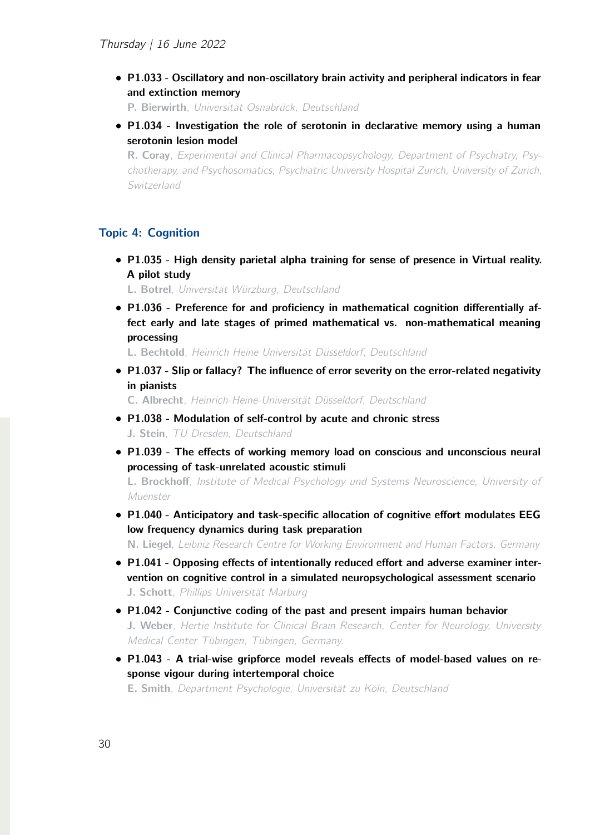*•* P1.033 - Oscillatory and non-oscillatory brain activity and peripheral indicators in fear and extinction memory

P. Bierwirth, *Universität Osnabrück, Deutschland*

*•* P1.034 - Investigation the role of serotonin in declarative memory using a human serotonin lesion model

R. Coray, *Experimental and Clinical Pharmacopsychology, Department of Psychiatry, Psychotherapy, and Psychosomatics, Psychiatric University Hospital Zurich, University of Zurich, Switzerland*

## Topic 4: Cognition

*•* P1.035 - High density parietal alpha training for sense of presence in Virtual reality. A pilot study

L. Botrel, *Universität Würzburg, Deutschland*

*•* P1.036 - Preference for and proficiency in mathematical cognition differentially affect early and late stages of primed mathematical vs. non-mathematical meaning processing

L. Bechtold, *Heinrich Heine Universität Düsseldorf, Deutschland*

*•* P1.037 - Slip or fallacy? The influence of error severity on the error-related negativity in pianists

C. Albrecht, *Heinrich-Heine-Universität Düsseldorf, Deutschland*

- *•* P1.038 Modulation of self-control by acute and chronic stress J. Stein, *TU Dresden, Deutschland*
- *•* P1.039 The effects of working memory load on conscious and unconscious neural processing of task-unrelated acoustic stimuli

L. Brockhoff, *Institute of Medical Psychology und Systems Neuroscience, University of Muenster*

*•* P1.040 - Anticipatory and task-specific allocation of cognitive effort modulates EEG low frequency dynamics during task preparation

N. Liegel, *Leibniz Research Centre for Working Environment and Human Factors, Germany*

- *•* P1.041 Opposing effects of intentionally reduced effort and adverse examiner intervention on cognitive control in a simulated neuropsychological assessment scenario J. Schott, *Phillips Universität Marburg*
- *•* P1.042 Conjunctive coding of the past and present impairs human behavior J. Weber, *Hertie Institute for Clinical Brain Research, Center for Neurology, University Medical Center Tübingen, Tübingen, Germany.*
- *•* P1.043 A trial-wise gripforce model reveals effects of model-based values on response vigour during intertemporal choice

E. Smith, *Department Psychologie, Universität zu Köln, Deutschland*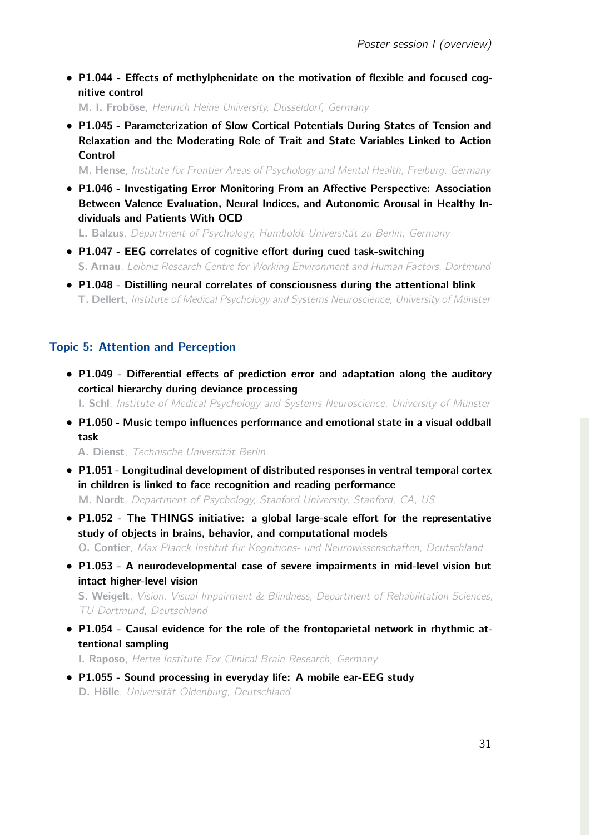*•* P1.044 - Effects of methylphenidate on the motivation of flexible and focused cognitive control

M. I. Froböse, *Heinrich Heine University, Düsseldorf, Germany*

*•* P1.045 - Parameterization of Slow Cortical Potentials During States of Tension and Relaxation and the Moderating Role of Trait and State Variables Linked to Action Control

M. Hense, *Institute for Frontier Areas of Psychology and Mental Health, Freiburg, Germany*

*•* P1.046 - Investigating Error Monitoring From an Affective Perspective: Association Between Valence Evaluation, Neural Indices, and Autonomic Arousal in Healthy Individuals and Patients With OCD

L. Balzus, *Department of Psychology, Humboldt-Universität zu Berlin, Germany*

- *•* P1.047 EEG correlates of cognitive effort during cued task-switching S. Arnau, *Leibniz Research Centre for Working Environment and Human Factors, Dortmund*
- *•* P1.048 Distilling neural correlates of consciousness during the attentional blink T. Dellert, *Institute of Medical Psychology and Systems Neuroscience, University of Münster*

## Topic 5: Attention and Perception

*•* P1.049 - Differential effects of prediction error and adaptation along the auditory cortical hierarchy during deviance processing

I. Schl, *Institute of Medical Psychology and Systems Neuroscience, University of Münster*

*•* P1.050 - Music tempo influences performance and emotional state in a visual oddball task

A. Dienst, *Technische Universität Berlin*

- *•* P1.051 Longitudinal development of distributed responses in ventral temporal cortex in children is linked to face recognition and reading performance M. Nordt, *Department of Psychology, Stanford University, Stanford, CA, US*
- *•* P1.052 The THINGS initiative: a global large-scale effort for the representative study of objects in brains, behavior, and computational models O. Contier, *Max Planck Institut für Kognitions- und Neurowissenschaften, Deutschland*
- *•* P1.053 A neurodevelopmental case of severe impairments in mid-level vision but intact higher-level vision

S. Weigelt, *Vision, Visual Impairment & Blindness, Department of Rehabilitation Sciences, TU Dortmund, Deutschland*

*•* P1.054 - Causal evidence for the role of the frontoparietal network in rhythmic attentional sampling

I. Raposo, *Hertie Institute For Clinical Brain Research, Germany*

*•* P1.055 - Sound processing in everyday life: A mobile ear-EEG study D. Hölle, *Universität Oldenburg, Deutschland*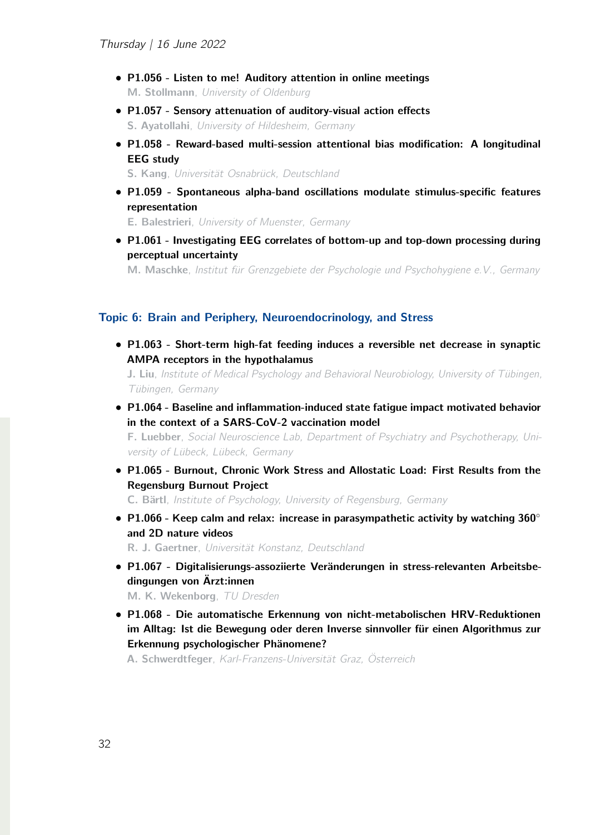- *•* P1.056 Listen to me! Auditory attention in online meetings M. Stollmann, *University of Oldenburg*
- *•* P1.057 Sensory attenuation of auditory-visual action effects S. Ayatollahi, *University of Hildesheim, Germany*
- *•* P1.058 Reward-based multi-session attentional bias modification: A longitudinal EEG study

S. Kang, *Universität Osnabrück, Deutschland*

*•* P1.059 - Spontaneous alpha-band oscillations modulate stimulus-specific features representation

E. Balestrieri, *University of Muenster, Germany*

*•* P1.061 - Investigating EEG correlates of bottom-up and top-down processing during perceptual uncertainty

M. Maschke, *Institut für Grenzgebiete der Psychologie und Psychohygiene e.V., Germany*

#### Topic 6: Brain and Periphery, Neuroendocrinology, and Stress

*•* P1.063 - Short-term high-fat feeding induces a reversible net decrease in synaptic AMPA receptors in the hypothalamus

J. Liu, *Institute of Medical Psychology and Behavioral Neurobiology, University of Tübingen, Tübingen, Germany*

*•* P1.064 - Baseline and inflammation-induced state fatigue impact motivated behavior in the context of a SARS-CoV-2 vaccination model

F. Luebber, *Social Neuroscience Lab, Department of Psychiatry and Psychotherapy, University of Lübeck, Lübeck, Germany*

*•* P1.065 - Burnout, Chronic Work Stress and Allostatic Load: First Results from the Regensburg Burnout Project

C. Bärtl, *Institute of Psychology, University of Regensburg, Germany*

• P1.066 - Keep calm and relax: increase in parasympathetic activity by watching 360° and 2D nature videos

R. J. Gaertner, *Universität Konstanz, Deutschland*

*•* P1.067 - Digitalisierungs-assoziierte Veränderungen in stress-relevanten Arbeitsbedingungen von Ärzt:innen

M. K. Wekenborg, *TU Dresden*

*•* P1.068 - Die automatische Erkennung von nicht-metabolischen HRV-Reduktionen im Alltag: Ist die Bewegung oder deren Inverse sinnvoller für einen Algorithmus zur Erkennung psychologischer Phänomene?

A. Schwerdtfeger, *Karl-Franzens-Universität Graz, Österreich*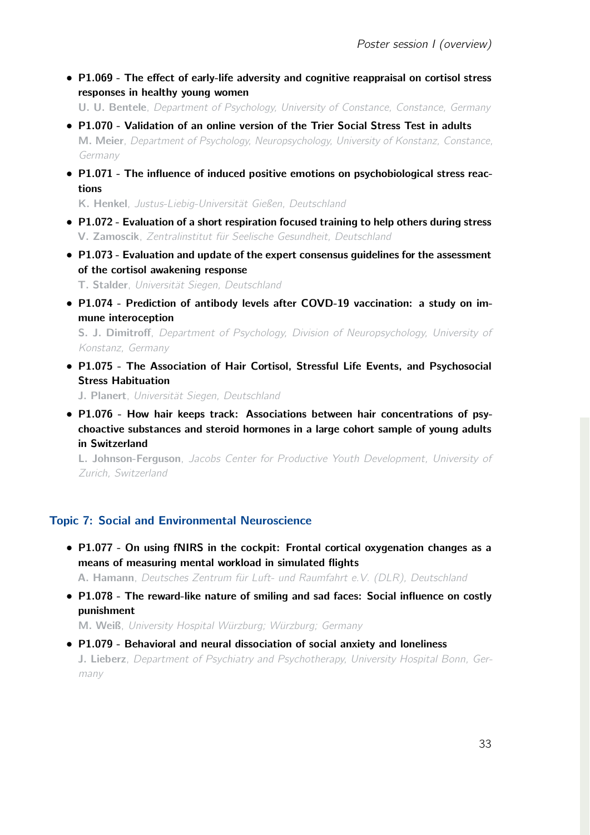*•* P1.069 - The effect of early-life adversity and cognitive reappraisal on cortisol stress responses in healthy young women

U. U. Bentele, *Department of Psychology, University of Constance, Constance, Germany*

- *•* P1.070 Validation of an online version of the Trier Social Stress Test in adults M. Meier, *Department of Psychology, Neuropsychology, University of Konstanz, Constance, Germany*
- *•* P1.071 The influence of induced positive emotions on psychobiological stress reactions

K. Henkel, *Justus-Liebig-Universität Gießen, Deutschland*

- *•* P1.072 Evaluation of a short respiration focused training to help others during stress V. Zamoscik, *Zentralinstitut für Seelische Gesundheit, Deutschland*
- *•* P1.073 Evaluation and update of the expert consensus guidelines for the assessment of the cortisol awakening response

T. Stalder, *Universität Siegen, Deutschland*

*•* P1.074 - Prediction of antibody levels after COVD-19 vaccination: a study on immune interoception

S. J. Dimitroff, *Department of Psychology, Division of Neuropsychology, University of Konstanz, Germany*

*•* P1.075 - The Association of Hair Cortisol, Stressful Life Events, and Psychosocial Stress Habituation

J. Planert, *Universität Siegen, Deutschland*

*•* P1.076 - How hair keeps track: Associations between hair concentrations of psychoactive substances and steroid hormones in a large cohort sample of young adults in Switzerland

L. Johnson-Ferguson, *Jacobs Center for Productive Youth Development, University of Zurich, Switzerland*

# Topic 7: Social and Environmental Neuroscience

*•* P1.077 - On using fNIRS in the cockpit: Frontal cortical oxygenation changes as a means of measuring mental workload in simulated flights

A. Hamann, *Deutsches Zentrum für Luft- und Raumfahrt e.V. (DLR), Deutschland*

*•* P1.078 - The reward-like nature of smiling and sad faces: Social influence on costly punishment

M. Weiß, *University Hospital Würzburg; Würzburg; Germany*

*•* P1.079 - Behavioral and neural dissociation of social anxiety and loneliness J. Lieberz, *Department of Psychiatry and Psychotherapy, University Hospital Bonn, Germany*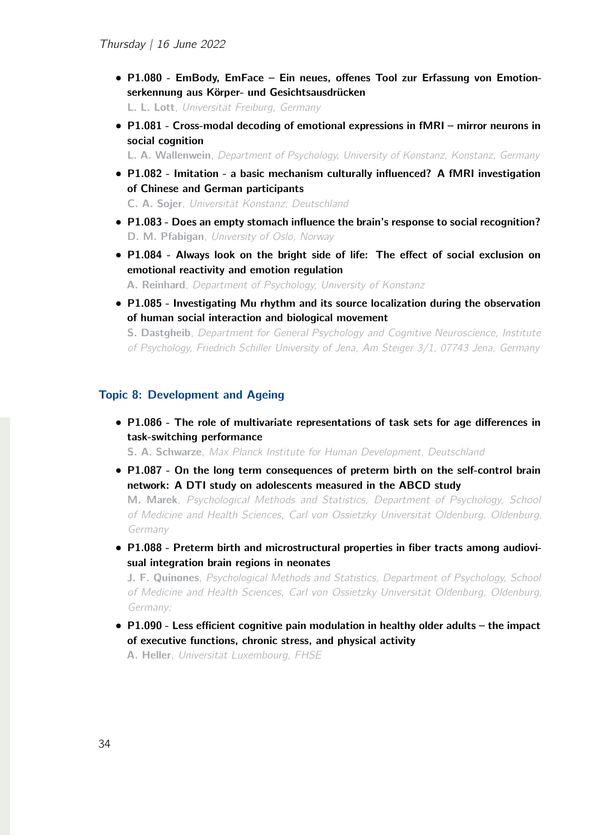*•* P1.080 - EmBody, EmFace – Ein neues, offenes Tool zur Erfassung von Emotionserkennung aus Körper- und Gesichtsausdrücken

L. L. Lott, *Universität Freiburg, Germany*

*•* P1.081 - Cross-modal decoding of emotional expressions in fMRI – mirror neurons in social cognition

L. A. Wallenwein, *Department of Psychology, University of Konstanz, Konstanz, Germany*

*•* P1.082 - Imitation - a basic mechanism culturally influenced? A fMRI investigation of Chinese and German participants

C. A. Sojer, *Universität Konstanz, Deutschland*

- *•* P1.083 Does an empty stomach influence the brain's response to social recognition? D. M. Pfabigan, *University of Oslo, Norway*
- *•* P1.084 Always look on the bright side of life: The effect of social exclusion on emotional reactivity and emotion regulation

A. Reinhard, *Department of Psychology, University of Konstanz*

*•* P1.085 - Investigating Mu rhythm and its source localization during the observation of human social interaction and biological movement

S. Dastgheib, *Department for General Psychology and Cognitive Neuroscience, Institute of Psychology, Friedrich Schiller University of Jena, Am Steiger 3/1, 07743 Jena, Germany*

#### Topic 8: Development and Ageing

*•* P1.086 - The role of multivariate representations of task sets for age differences in task-switching performance

S. A. Schwarze, *Max Planck Institute for Human Development, Deutschland*

- *•* P1.087 On the long term consequences of preterm birth on the self-control brain network: A DTI study on adolescents measured in the ABCD study M. Marek, *Psychological Methods and Statistics, Department of Psychology, School of Medicine and Health Sciences, Carl von Ossietzky Universität Oldenburg, Oldenburg, Germany*
- *•* P1.088 Preterm birth and microstructural properties in fiber tracts among audiovisual integration brain regions in neonates

J. F. Quinones, *Psychological Methods and Statistics, Department of Psychology, School of Medicine and Health Sciences, Carl von Ossietzky Universität Oldenburg, Oldenburg, Germany;*

*•* P1.090 - Less efficient cognitive pain modulation in healthy older adults – the impact of executive functions, chronic stress, and physical activity

A. Heller, *Universität Luxembourg, FHSE*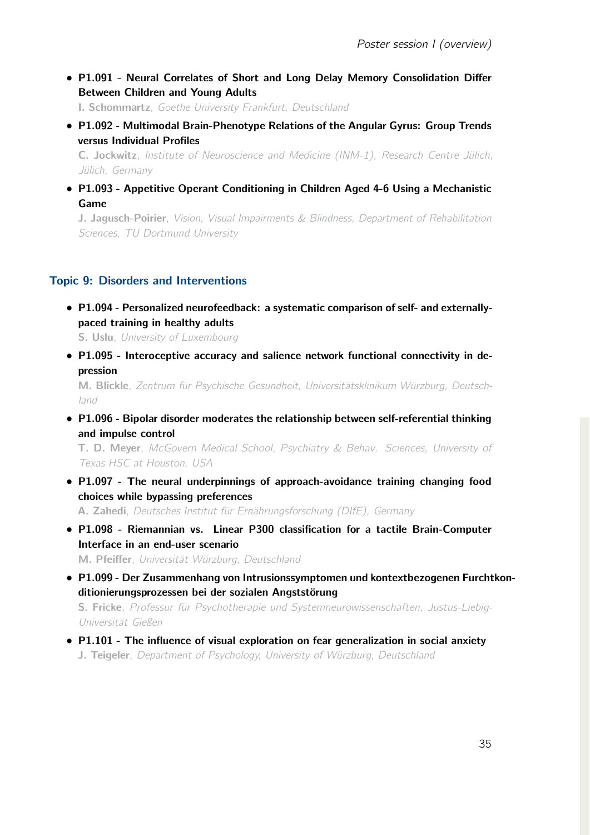*•* P1.091 - Neural Correlates of Short and Long Delay Memory Consolidation Differ Between Children and Young Adults

I. Schommartz, *Goethe University Frankfurt, Deutschland*

*•* P1.092 - Multimodal Brain-Phenotype Relations of the Angular Gyrus: Group Trends versus Individual Profiles

C. Jockwitz, *Institute of Neuroscience and Medicine (INM-1), Research Centre Jülich, Jülich, Germany*

*•* P1.093 - Appetitive Operant Conditioning in Children Aged 4-6 Using a Mechanistic Game

J. Jagusch-Poirier, *Vision, Visual Impairments & Blindness, Department of Rehabilitation Sciences, TU Dortmund University*

## Topic 9: Disorders and Interventions

*•* P1.094 - Personalized neurofeedback: a systematic comparison of self- and externallypaced training in healthy adults

S. Uslu, *University of Luxembourg*

*•* P1.095 - Interoceptive accuracy and salience network functional connectivity in depression

M. Blickle, *Zentrum für Psychische Gesundheit, Universitätsklinikum Würzburg, Deutschland*

*•* P1.096 - Bipolar disorder moderates the relationship between self-referential thinking and impulse control

T. D. Meyer, *McGovern Medical School, Psychiatry & Behav. Sciences, University of Texas HSC at Houston, USA*

- *•* P1.097 The neural underpinnings of approach-avoidance training changing food choices while bypassing preferences A. Zahedi, *Deutsches Institut für Ernährungsforschung (DIfE), Germany*
- *•* P1.098 Riemannian vs. Linear P300 classification for a tactile Brain-Computer Interface in an end-user scenario M. Pfeiffer, *Universität Würzburg, Deutschland*
- *•* P1.099 Der Zusammenhang von Intrusionssymptomen und kontextbezogenen Furchtkonditionierungsprozessen bei der sozialen Angststörung S. Fricke, *Professur für Psychotherapie und Systemneurowissenschaften, Justus-Liebig-Universität Gießen*
- *•* P1.101 The influence of visual exploration on fear generalization in social anxiety J. Teigeler, *Department of Psychology, University of Würzburg, Deutschland*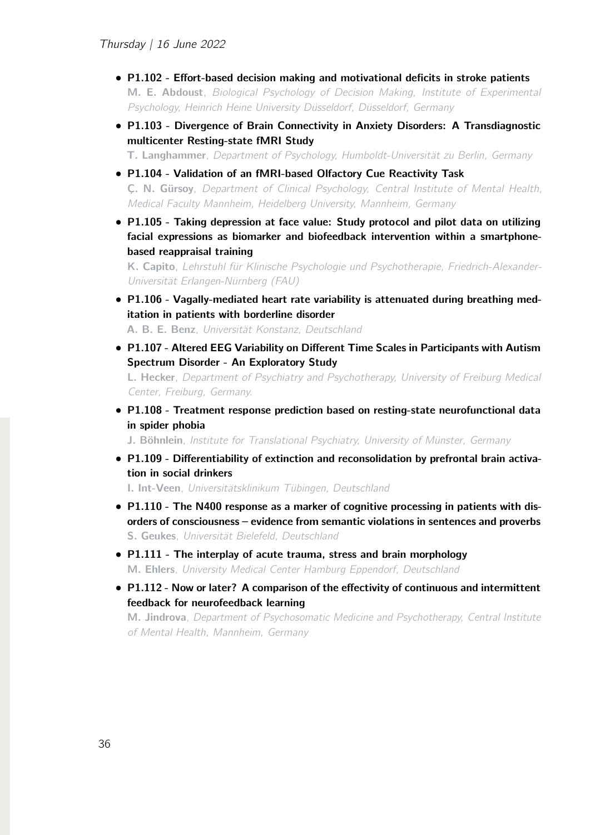- *•* P1.102 Effort-based decision making and motivational deficits in stroke patients M. E. Abdoust, *Biological Psychology of Decision Making, Institute of Experimental Psychology, Heinrich Heine University Düsseldorf, Düsseldorf, Germany*
- *•* P1.103 Divergence of Brain Connectivity in Anxiety Disorders: A Transdiagnostic multicenter Resting-state fMRI Study

T. Langhammer, *Department of Psychology, Humboldt-Universität zu Berlin, Germany*

- *•* P1.104 Validation of an fMRI-based Olfactory Cue Reactivity Task Ç. N. Gürsoy, *Department of Clinical Psychology, Central Institute of Mental Health, Medical Faculty Mannheim, Heidelberg University, Mannheim, Germany*
- *•* P1.105 Taking depression at face value: Study protocol and pilot data on utilizing facial expressions as biomarker and biofeedback intervention within a smartphonebased reappraisal training

K. Capito, *Lehrstuhl für Klinische Psychologie und Psychotherapie, Friedrich-Alexander-Universität Erlangen-Nürnberg (FAU)*

*•* P1.106 - Vagally-mediated heart rate variability is attenuated during breathing meditation in patients with borderline disorder

A. B. E. Benz, *Universität Konstanz, Deutschland*

*•* P1.107 - Altered EEG Variability on Different Time Scales in Participants with Autism Spectrum Disorder - An Exploratory Study

L. Hecker, *Department of Psychiatry and Psychotherapy, University of Freiburg Medical Center, Freiburg, Germany.*

*•* P1.108 - Treatment response prediction based on resting-state neurofunctional data in spider phobia

J. Böhnlein, *Institute for Translational Psychiatry, University of Münster, Germany*

*•* P1.109 - Differentiability of extinction and reconsolidation by prefrontal brain activation in social drinkers

I. Int-Veen, *Universitätsklinikum Tübingen, Deutschland*

- P1.110 The N400 response as a marker of cognitive processing in patients with disorders of consciousness – evidence from semantic violations in sentences and proverbs S. Geukes, *Universität Bielefeld, Deutschland*
- *•* P1.111 The interplay of acute trauma, stress and brain morphology M. Ehlers, *University Medical Center Hamburg Eppendorf, Deutschland*
- P1.112 Now or later? A comparison of the effectivity of continuous and intermittent feedback for neurofeedback learning

M. Jindrova, *Department of Psychosomatic Medicine and Psychotherapy, Central Institute of Mental Health, Mannheim, Germany*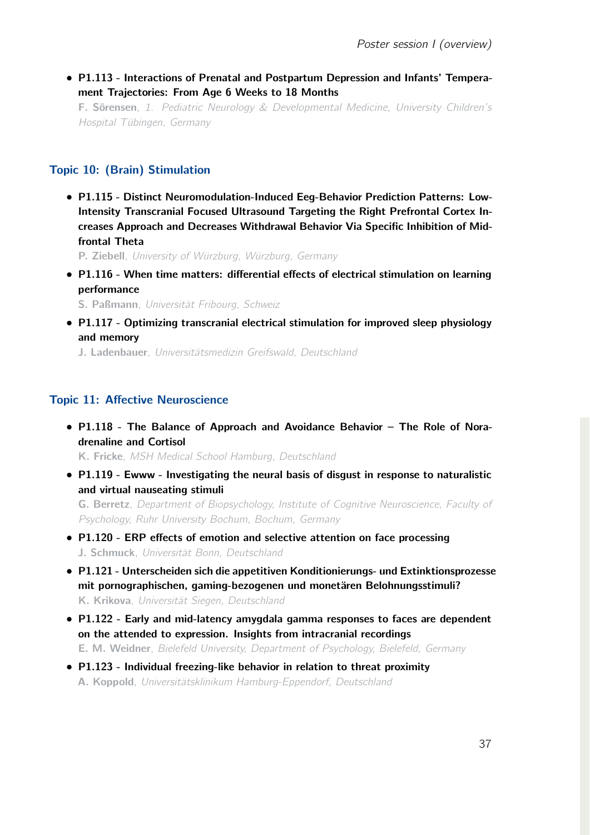*•* P1.113 - Interactions of Prenatal and Postpartum Depression and Infants' Temperament Trajectories: From Age 6 Weeks to 18 Months

F. Sörensen, *1. Pediatric Neurology & Developmental Medicine, University Children's Hospital Tübingen, Germany*

# Topic 10: (Brain) Stimulation

*•* P1.115 - Distinct Neuromodulation-Induced Eeg-Behavior Prediction Patterns: Low-Intensity Transcranial Focused Ultrasound Targeting the Right Prefrontal Cortex Increases Approach and Decreases Withdrawal Behavior Via Specific Inhibition of Midfrontal Theta

P. Ziebell, *University of Würzburg, Würzburg, Germany*

*•* P1.116 - When time matters: differential effects of electrical stimulation on learning performance

S. Paßmann, *Universität Fribourg, Schweiz*

*•* P1.117 - Optimizing transcranial electrical stimulation for improved sleep physiology and memory

J. Ladenbauer, *Universitätsmedizin Greifswald, Deutschland*

# Topic 11: Affective Neuroscience

*•* P1.118 - The Balance of Approach and Avoidance Behavior – The Role of Noradrenaline and Cortisol

K. Fricke, *MSH Medical School Hamburg, Deutschland*

*•* P1.119 - Ewww - Investigating the neural basis of disgust in response to naturalistic and virtual nauseating stimuli

G. Berretz, *Department of Biopsychology, Institute of Cognitive Neuroscience, Faculty of Psychology, Ruhr University Bochum, Bochum, Germany*

- *•* P1.120 ERP effects of emotion and selective attention on face processing J. Schmuck, *Universität Bonn, Deutschland*
- *•* P1.121 Unterscheiden sich die appetitiven Konditionierungs- und Extinktionsprozesse mit pornographischen, gaming-bezogenen und monetären Belohnungsstimuli? K. Krikova, *Universität Siegen, Deutschland*
- *•* P1.122 Early and mid-latency amygdala gamma responses to faces are dependent on the attended to expression. Insights from intracranial recordings E. M. Weidner, *Bielefeld University, Department of Psychology, Bielefeld, Germany*
- *•* P1.123 Individual freezing-like behavior in relation to threat proximity A. Koppold, *Universitätsklinikum Hamburg-Eppendorf, Deutschland*